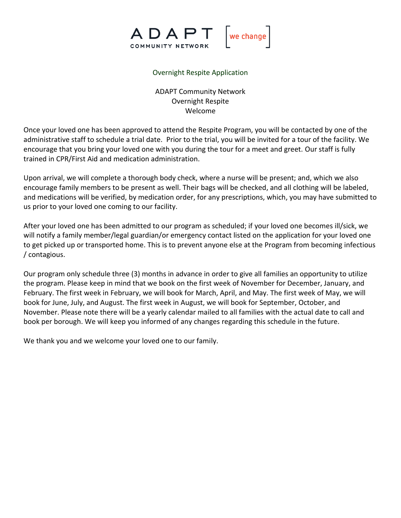

# Overnight Respite Application

ADAPT Community Network Overnight Respite Welcome

Once your loved one has been approved to attend the Respite Program, you will be contacted by one of the administrative staff to schedule a trial date. Prior to the trial, you will be invited for a tour of the facility. We encourage that you bring your loved one with you during the tour for a meet and greet. Our staff is fully trained in CPR/First Aid and medication administration.

Upon arrival, we will complete a thorough body check, where a nurse will be present; and, which we also encourage family members to be present as well. Their bags will be checked, and all clothing will be labeled, and medications will be verified, by medication order, for any prescriptions, which, you may have submitted to us prior to your loved one coming to our facility.

After your loved one has been admitted to our program as scheduled; if your loved one becomes ill/sick, we will notify a family member/legal guardian/or emergency contact listed on the application for your loved one to get picked up or transported home. This is to prevent anyone else at the Program from becoming infectious / contagious.

Our program only schedule three (3) months in advance in order to give all families an opportunity to utilize the program. Please keep in mind that we book on the first week of November for December, January, and February. The first week in February, we will book for March, April, and May. The first week of May, we will book for June, July, and August. The first week in August, we will book for September, October, and November. Please note there will be a yearly calendar mailed to all families with the actual date to call and book per borough. We will keep you informed of any changes regarding this schedule in the future.

We thank you and we welcome your loved one to our family.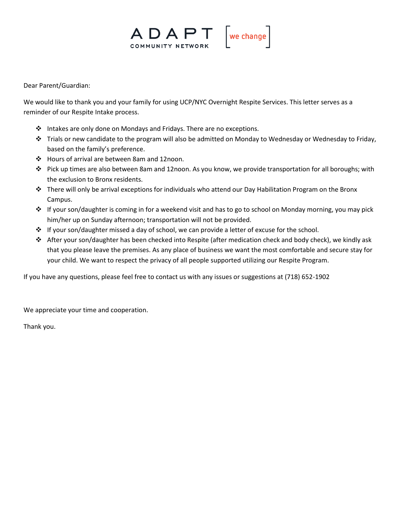

Dear Parent/Guardian:

We would like to thank you and your family for using UCP/NYC Overnight Respite Services. This letter serves as a reminder of our Respite Intake process.

- ❖ Intakes are only done on Mondays and Fridays. There are no exceptions.
- ❖ Trials or new candidate to the program will also be admitted on Monday to Wednesday or Wednesday to Friday, based on the family's preference.
- ❖ Hours of arrival are between 8am and 12noon.
- ❖ Pick up times are also between 8am and 12noon. As you know, we provide transportation for all boroughs; with the exclusion to Bronx residents.
- ❖ There will only be arrival exceptions for individuals who attend our Day Habilitation Program on the Bronx Campus.
- ❖ If your son/daughter is coming in for a weekend visit and has to go to school on Monday morning, you may pick him/her up on Sunday afternoon; transportation will not be provided.
- ❖ If your son/daughter missed a day of school, we can provide a letter of excuse for the school.
- ❖ After your son/daughter has been checked into Respite (after medication check and body check), we kindly ask that you please leave the premises. As any place of business we want the most comfortable and secure stay for your child. We want to respect the privacy of all people supported utilizing our Respite Program.

If you have any questions, please feel free to contact us with any issues or suggestions at (718) 652-1902

We appreciate your time and cooperation.

Thank you.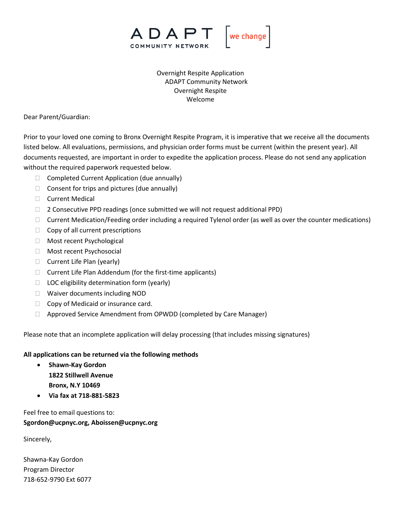

Overnight Respite Application ADAPT Community Network Overnight Respite Welcome

Dear Parent/Guardian:

Prior to your loved one coming to Bronx Overnight Respite Program, it is imperative that we receive all the documents listed below. All evaluations, permissions, and physician order forms must be current (within the present year). All documents requested, are important in order to expedite the application process. Please do not send any application without the required paperwork requested below.

- $\Box$  Completed Current Application (due annually)
- $\Box$  Consent for trips and pictures (due annually)
- □ Current Medical
- □ 2 Consecutive PPD readings (once submitted we will not request additional PPD)
- $\Box$  Current Medication/Feeding order including a required Tylenol order (as well as over the counter medications)
- $\Box$  Copy of all current prescriptions
- Most recent Psychological
- **Nost recent Psychosocial**
- $\Box$  Current Life Plan (yearly)
- $\Box$  Current Life Plan Addendum (for the first-time applicants)
- $\Box$  LOC eligibility determination form (yearly)
- □ Waiver documents including NOD
- $\Box$  Copy of Medicaid or insurance card.
- Approved Service Amendment from OPWDD (completed by Care Manager)

Please note that an incomplete application will delay processing (that includes missing signatures)

### **All applications can be returned via the following methods**

- **Shawn-Kay Gordon 1822 Stillwell Avenue Bronx, N.Y 10469**
- **Via fax at 718-881-5823**

Feel free to email questions to: **Sgordon@ucpnyc.org, Aboissen@ucpnyc.org**

Sincerely,

Shawna-Kay Gordon Program Director 718-652-9790 Ext 6077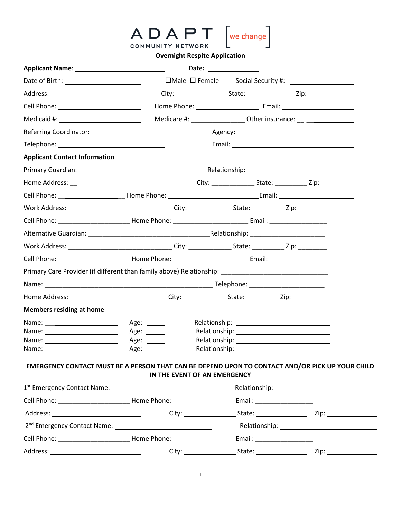|                                                                                                                                                                                                                                | ADAPT               | we change                                                                        |  |  |
|--------------------------------------------------------------------------------------------------------------------------------------------------------------------------------------------------------------------------------|---------------------|----------------------------------------------------------------------------------|--|--|
|                                                                                                                                                                                                                                | COMMUNITY NETWORK   | <b>Overnight Respite Application</b>                                             |  |  |
| <b>Applicant Name:</b> Applicant Name:                                                                                                                                                                                         |                     | Date: ________________                                                           |  |  |
| Date of Birth: __________________________                                                                                                                                                                                      |                     |                                                                                  |  |  |
|                                                                                                                                                                                                                                |                     |                                                                                  |  |  |
| Cell Phone: <u>___________________________</u>                                                                                                                                                                                 |                     |                                                                                  |  |  |
| Medicaid #: _________________________                                                                                                                                                                                          |                     | Medicare #: _____________________ Other insurance: __ __________________________ |  |  |
|                                                                                                                                                                                                                                |                     |                                                                                  |  |  |
|                                                                                                                                                                                                                                |                     |                                                                                  |  |  |
| <b>Applicant Contact Information</b>                                                                                                                                                                                           |                     |                                                                                  |  |  |
|                                                                                                                                                                                                                                |                     |                                                                                  |  |  |
|                                                                                                                                                                                                                                |                     |                                                                                  |  |  |
|                                                                                                                                                                                                                                |                     |                                                                                  |  |  |
| Work Address: __________________________________City: ________________State: ____________Zip: ___________                                                                                                                      |                     |                                                                                  |  |  |
|                                                                                                                                                                                                                                |                     |                                                                                  |  |  |
|                                                                                                                                                                                                                                |                     |                                                                                  |  |  |
| Work Address: ________________________________City: _______________State: ___________Zip: _________                                                                                                                            |                     |                                                                                  |  |  |
| Cell Phone: Call Phone: Email: Email: Email: Email: Email: Email: Email: Email: Email: Email: Email: Email: Email: Email: Email: Email: Email: Email: Email: Email: Email: Email: Email: Email: Email: Email: Email: Email: Em |                     |                                                                                  |  |  |
| Primary Care Provider (if different than family above) Relationship: _______________________________                                                                                                                           |                     |                                                                                  |  |  |
|                                                                                                                                                                                                                                |                     |                                                                                  |  |  |
| Home Address: ________________________________City: ________________State: ____________Zip: _____________                                                                                                                      |                     |                                                                                  |  |  |
| <b>Members residing at home</b>                                                                                                                                                                                                |                     |                                                                                  |  |  |
| Name: ________________________                                                                                                                                                                                                 | Age: $\_\_$         |                                                                                  |  |  |
|                                                                                                                                                                                                                                | Age: ______         |                                                                                  |  |  |
| Name: ______________________                                                                                                                                                                                                   | Age: ______<br>Age: |                                                                                  |  |  |
| EMERGENCY CONTACT MUST BE A PERSON THAT CAN BE DEPEND UPON TO CONTACT AND/OR PICK UP YOUR CHILD                                                                                                                                |                     | IN THE EVENT OF AN EMERGENCY                                                     |  |  |
|                                                                                                                                                                                                                                |                     |                                                                                  |  |  |
|                                                                                                                                                                                                                                |                     |                                                                                  |  |  |
|                                                                                                                                                                                                                                |                     |                                                                                  |  |  |
|                                                                                                                                                                                                                                |                     |                                                                                  |  |  |
|                                                                                                                                                                                                                                |                     |                                                                                  |  |  |
|                                                                                                                                                                                                                                |                     |                                                                                  |  |  |

**i** *i* **i i i i**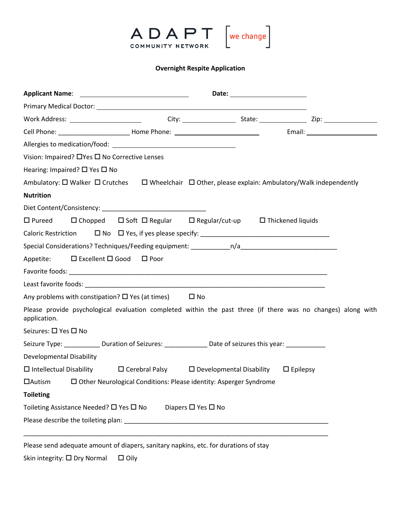

# **Overnight Respite Application**

|                                                         | Vision: Impaired? □ Yes □ No Corrective Lenses                                                                          |                                    |  |  |
|---------------------------------------------------------|-------------------------------------------------------------------------------------------------------------------------|------------------------------------|--|--|
| Hearing: Impaired? □ Yes □ No                           |                                                                                                                         |                                    |  |  |
|                                                         | Ambulatory: $\Box$ Walker $\Box$ Crutches $\Box$ Wheelchair $\Box$ Other, please explain: Ambulatory/Walk independently |                                    |  |  |
| <b>Nutrition</b>                                        |                                                                                                                         |                                    |  |  |
|                                                         |                                                                                                                         |                                    |  |  |
| $\square$ Pureed                                        | $\Box$ Chopped $\Box$ Soft $\Box$ Regular $\Box$ Regular/cut-up $\Box$ Thickened liquids                                |                                    |  |  |
|                                                         |                                                                                                                         |                                    |  |  |
|                                                         |                                                                                                                         |                                    |  |  |
| Appetite:                                               | $\Box$ Excellent $\Box$ Good $\Box$ Poor                                                                                |                                    |  |  |
|                                                         |                                                                                                                         |                                    |  |  |
|                                                         |                                                                                                                         |                                    |  |  |
|                                                         | Any problems with constipation? $\square$ Yes (at times) $\square$ No                                                   |                                    |  |  |
| application.                                            | Please provide psychological evaluation completed within the past three (if there was no changes) along with            |                                    |  |  |
| Seizures: □ Yes □ No                                    |                                                                                                                         |                                    |  |  |
|                                                         | Seizure Type: ____________ Duration of Seizures: ________________ Date of seizures this year: ____________              |                                    |  |  |
| Developmental Disability                                |                                                                                                                         |                                    |  |  |
|                                                         | $\Box$ Intellectual Disability $\Box$ Cerebral Palsy $\Box$ Developmental Disability $\Box$ Epilepsy                    |                                    |  |  |
|                                                         | □ Other Neurological Conditions: Please identity: Asperger Syndrome                                                     |                                    |  |  |
| <b>Toileting</b>                                        |                                                                                                                         |                                    |  |  |
| Toileting Assistance Needed? $\square$ Yes $\square$ No |                                                                                                                         | Diapers $\square$ Yes $\square$ No |  |  |
|                                                         |                                                                                                                         |                                    |  |  |
|                                                         |                                                                                                                         |                                    |  |  |
|                                                         | Please send adequate amount of diapers, sanitary napkins, etc. for durations of stay                                    |                                    |  |  |

Skin integrity:  $\square$  Dry Normal  $\square$  Oily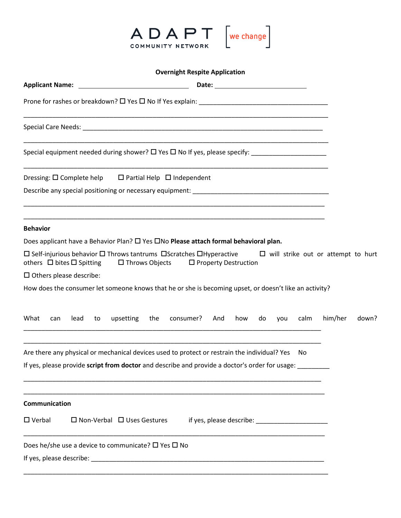

| <b>Overnight Respite Application</b>                                                                                                                                                                                                  |       |
|---------------------------------------------------------------------------------------------------------------------------------------------------------------------------------------------------------------------------------------|-------|
|                                                                                                                                                                                                                                       |       |
|                                                                                                                                                                                                                                       |       |
|                                                                                                                                                                                                                                       |       |
| Special equipment needed during shower? $\square$ Yes $\square$ No If yes, please specify:                                                                                                                                            |       |
| Dressing: $\square$ Complete help $\square$ Partial Help $\square$ Independent                                                                                                                                                        |       |
|                                                                                                                                                                                                                                       |       |
| <b>Behavior</b>                                                                                                                                                                                                                       |       |
| Does applicant have a Behavior Plan? □ Yes □No Please attach formal behavioral plan.                                                                                                                                                  |       |
| $\Box$ Self-injurious behavior $\Box$ Throws tantrums $\Box$ Scratches $\Box$ Hyperactive $\Box$ will strike out or attempt to hurt<br>others $\Box$ bites $\Box$ Spitting<br>$\square$ Throws Objects<br>$\Box$ Property Destruction |       |
| $\square$ Others please describe:                                                                                                                                                                                                     |       |
| How does the consumer let someone knows that he or she is becoming upset, or doesn't like an activity?                                                                                                                                |       |
| What<br>consumer?<br>him/her<br>upsetting<br>the<br>how<br>do<br>calm<br>lead<br>to<br>And<br>you<br>can                                                                                                                              | down? |
| Are there any physical or mechanical devices used to protect or restrain the individual? Yes<br>No<br>If yes, please provide script from doctor and describe and provide a doctor's order for usage:                                  |       |
|                                                                                                                                                                                                                                       |       |
| Communication                                                                                                                                                                                                                         |       |
| $\Box$ Verbal<br>$\Box$ Non-Verbal $\Box$ Uses Gestures                                                                                                                                                                               |       |
| Does he/she use a device to communicate? $\square$ Yes $\square$ No                                                                                                                                                                   |       |
|                                                                                                                                                                                                                                       |       |

\_\_\_\_\_\_\_\_\_\_\_\_\_\_\_\_\_\_\_\_\_\_\_\_\_\_\_\_\_\_\_\_\_\_\_\_\_\_\_\_\_\_\_\_\_\_\_\_\_\_\_\_\_\_\_\_\_\_\_\_\_\_\_\_\_\_\_\_\_\_\_\_\_\_\_\_\_\_\_\_\_\_\_\_\_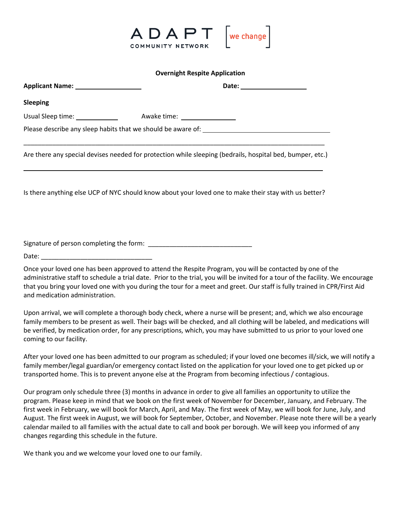

#### **Overnight Respite Application**

| Applicant Name: ____________________ | Date: _____________________                                                                               |
|--------------------------------------|-----------------------------------------------------------------------------------------------------------|
| <b>Sleeping</b>                      |                                                                                                           |
|                                      |                                                                                                           |
|                                      |                                                                                                           |
|                                      | Are there any special devises needed for protection while sleeping (bedrails, hospital bed, bumper, etc.) |
|                                      | Is there anything else UCP of NYC should know about your loved one to make their stay with us better?     |
|                                      |                                                                                                           |
|                                      |                                                                                                           |
|                                      | Once your loved one has been approved to attend the Respite Program, you will be contacted by one of the  |

administrative staff to schedule a trial date. Prior to the trial, you will be invited for a tour of the facility. We encourage that you bring your loved one with you during the tour for a meet and greet. Our staff is fully trained in CPR/First Aid and medication administration.

Upon arrival, we will complete a thorough body check, where a nurse will be present; and, which we also encourage family members to be present as well. Their bags will be checked, and all clothing will be labeled, and medications will be verified, by medication order, for any prescriptions, which, you may have submitted to us prior to your loved one coming to our facility.

After your loved one has been admitted to our program as scheduled; if your loved one becomes ill/sick, we will notify a family member/legal guardian/or emergency contact listed on the application for your loved one to get picked up or transported home. This is to prevent anyone else at the Program from becoming infectious / contagious.

Our program only schedule three (3) months in advance in order to give all families an opportunity to utilize the program. Please keep in mind that we book on the first week of November for December, January, and February. The first week in February, we will book for March, April, and May. The first week of May, we will book for June, July, and August. The first week in August, we will book for September, October, and November. Please note there will be a yearly calendar mailed to all families with the actual date to call and book per borough. We will keep you informed of any changes regarding this schedule in the future.

We thank you and we welcome your loved one to our family.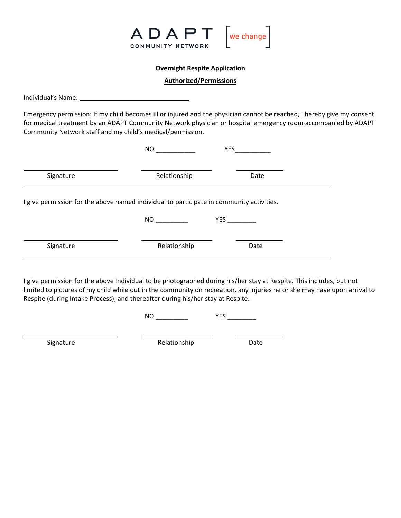

### **Overnight Respite Application**

#### **Authorized/Permissions**

Individual's Name:

Emergency permission: If my child becomes ill or injured and the physician cannot be reached, I hereby give my consent for medical treatment by an ADAPT Community Network physician or hospital emergency room accompanied by ADAPT Community Network staff and my child's medical/permission.

|                                                                                          | <b>NO</b>         | <b>YES</b> |
|------------------------------------------------------------------------------------------|-------------------|------------|
| Signature                                                                                | Relationship      | Date       |
| I give permission for the above named individual to participate in community activities. |                   |            |
|                                                                                          | NO <sub>cco</sub> | <b>YES</b> |
| Signature                                                                                | Relationship      | Date       |
|                                                                                          |                   |            |

I give permission for the above Individual to be photographed during his/her stay at Respite. This includes, but not limited to pictures of my child while out in the community on recreation, any injuries he or she may have upon arrival to Respite (during Intake Process), and thereafter during his/her stay at Respite.

NO \_\_\_\_\_\_\_\_\_ YES \_\_\_\_\_\_\_\_

Signature **Date** Relationship Date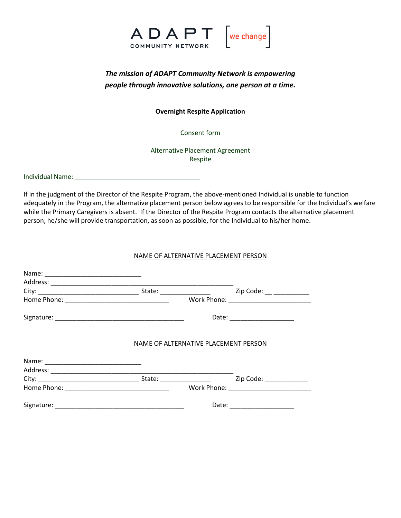

# *The mission of ADAPT Community Network is empowering people through innovative solutions, one person at a time.*

**Overnight Respite Application**

Consent form

Alternative Placement Agreement Respite

Individual Name:

If in the judgment of the Director of the Respite Program, the above-mentioned Individual is unable to function adequately in the Program, the alternative placement person below agrees to be responsible for the Individual's welfare while the Primary Caregivers is absent. If the Director of the Respite Program contacts the alternative placement person, he/she will provide transportation, as soon as possible, for the Individual to his/her home.

## NAME OF ALTERNATIVE PLACEMENT PERSON

|  | State: _______________               | Zip Code: __ __________ |
|--|--------------------------------------|-------------------------|
|  |                                      |                         |
|  |                                      |                         |
|  | NAME OF ALTERNATIVE PLACEMENT PERSON |                         |
|  |                                      |                         |
|  |                                      |                         |
|  |                                      | Zip Code: _____________ |
|  |                                      |                         |
|  |                                      | Date: _________________ |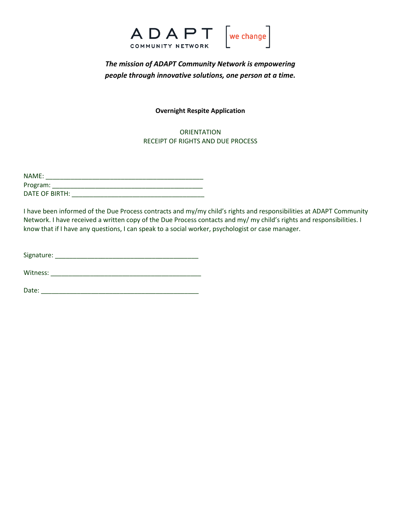

# *The mission of ADAPT Community Network is empowering people through innovative solutions, one person at a time.*

### **Overnight Respite Application**

**ORIENTATION** RECEIPT OF RIGHTS AND DUE PROCESS

| NAME:          |  |
|----------------|--|
| Program:       |  |
| DATE OF BIRTH: |  |

I have been informed of the Due Process contracts and my/my child's rights and responsibilities at ADAPT Community Network. I have received a written copy of the Due Process contacts and my/ my child's rights and responsibilities. I know that if I have any questions, I can speak to a social worker, psychologist or case manager.

| Signature: |  |
|------------|--|
|            |  |

Witness: \_\_\_\_\_\_\_\_\_\_\_\_\_\_\_\_\_\_\_\_\_\_\_\_\_\_\_\_\_\_\_\_\_\_\_\_\_\_\_\_\_\_

Date: \_\_\_\_\_\_\_\_\_\_\_\_\_\_\_\_\_\_\_\_\_\_\_\_\_\_\_\_\_\_\_\_\_\_\_\_\_\_\_\_\_\_\_\_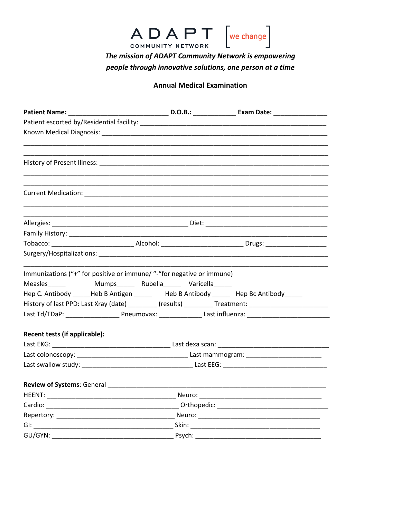

The mission of ADAPT Community Network is empowering people through innovative solutions, one person at a time

### **Annual Medical Examination**

|                                                                                    | ,我们也不能在这里的人,我们也不能在这里的人,我们也不能在这里的人,我们也不能在这里的人,我们也不能在这里的人,我们也不能在这里的人,我们也不能在这里的人,我们也                    |
|------------------------------------------------------------------------------------|------------------------------------------------------------------------------------------------------|
|                                                                                    |                                                                                                      |
|                                                                                    |                                                                                                      |
|                                                                                    |                                                                                                      |
|                                                                                    |                                                                                                      |
| Immunizations ("+" for positive or immune/ "-"for negative or immune)              |                                                                                                      |
|                                                                                    |                                                                                                      |
| Hep C. Antibody _____Heb B Antigen _____ Heb B Antibody _____ Hep Bc Antibody ____ |                                                                                                      |
|                                                                                    | History of last PPD: Last Xray (date) _________ (results) _________ Treatment: _____________________ |
|                                                                                    |                                                                                                      |
| Recent tests (if applicable):                                                      |                                                                                                      |
|                                                                                    |                                                                                                      |
|                                                                                    |                                                                                                      |
|                                                                                    |                                                                                                      |
|                                                                                    |                                                                                                      |
|                                                                                    |                                                                                                      |
|                                                                                    |                                                                                                      |
|                                                                                    |                                                                                                      |
|                                                                                    |                                                                                                      |
|                                                                                    |                                                                                                      |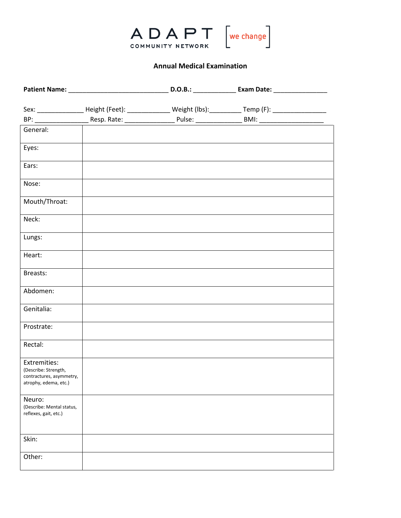

# **Annual Medical Examination**

|                                                   | BP: ________________________Resp. Rate: _________________________Pulse: ____________________________BMI: _____________________________ |  |
|---------------------------------------------------|----------------------------------------------------------------------------------------------------------------------------------------|--|
| General:                                          |                                                                                                                                        |  |
| Eyes:                                             |                                                                                                                                        |  |
| Ears:                                             |                                                                                                                                        |  |
| Nose:                                             |                                                                                                                                        |  |
| Mouth/Throat:                                     |                                                                                                                                        |  |
| Neck:                                             |                                                                                                                                        |  |
| Lungs:                                            |                                                                                                                                        |  |
| Heart:                                            |                                                                                                                                        |  |
| Breasts:                                          |                                                                                                                                        |  |
| Abdomen:                                          |                                                                                                                                        |  |
| Genitalia:                                        |                                                                                                                                        |  |
| Prostrate:                                        |                                                                                                                                        |  |
| Rectal:                                           |                                                                                                                                        |  |
| Extremities:<br>(Describe: Strength,              |                                                                                                                                        |  |
| contractures, asymmetry,<br>atrophy, edema, etc.) |                                                                                                                                        |  |
| Neuro:<br>(Describe: Mental status,               |                                                                                                                                        |  |
| reflexes, gait, etc.)                             |                                                                                                                                        |  |
| Skin:                                             |                                                                                                                                        |  |
| Other:                                            |                                                                                                                                        |  |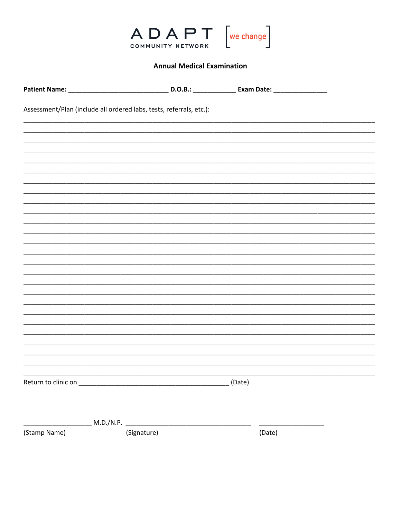

# **Annual Medical Examination**

|              | Assessment/Plan (include all ordered labs, tests, referrals, etc.): |        |        |  |
|--------------|---------------------------------------------------------------------|--------|--------|--|
|              |                                                                     |        |        |  |
|              |                                                                     |        |        |  |
|              |                                                                     |        |        |  |
|              |                                                                     |        |        |  |
|              |                                                                     |        |        |  |
|              |                                                                     |        |        |  |
|              |                                                                     |        |        |  |
|              |                                                                     |        |        |  |
|              |                                                                     |        |        |  |
|              |                                                                     |        |        |  |
|              |                                                                     |        |        |  |
|              |                                                                     |        |        |  |
|              |                                                                     |        |        |  |
|              |                                                                     |        |        |  |
|              |                                                                     |        |        |  |
|              |                                                                     |        |        |  |
|              |                                                                     |        |        |  |
|              |                                                                     |        |        |  |
|              |                                                                     |        |        |  |
|              |                                                                     |        |        |  |
|              |                                                                     |        |        |  |
|              |                                                                     | (Date) |        |  |
|              |                                                                     |        |        |  |
|              |                                                                     |        |        |  |
|              | M.D./N.P. __________________                                        |        |        |  |
| (Stamp Name) | (Signature)                                                         |        | (Date) |  |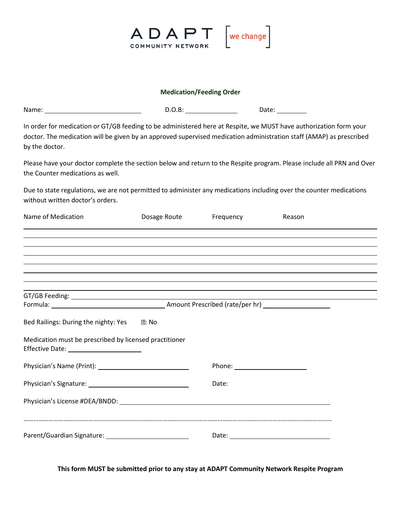

#### **Medication/Feeding Order**

| Name: | . .<br>$\sim$ $\sim$ | Date: |
|-------|----------------------|-------|
|-------|----------------------|-------|

In order for medication or GT/GB feeding to be administered here at Respite, we MUST have authorization form your doctor. The medication will be given by an approved supervised medication administration staff (AMAP) as prescribed by the doctor.

Please have your doctor complete the section below and return to the Respite program. Please include all PRN and Over the Counter medications as well.

Due to state regulations, we are not permitted to administer any medications including over the counter medications without written doctor's orders.

| Name of Medication                                                                                                                                                   | Dosage Route | Frequency | Reason |  |
|----------------------------------------------------------------------------------------------------------------------------------------------------------------------|--------------|-----------|--------|--|
|                                                                                                                                                                      |              |           |        |  |
| ,我们也不会有什么?""我们的人,我们也不会有什么?""我们的人,我们也不会有什么?""我们的人,我们也不会有什么?""我们的人,我们也不会有什么?""我们的人                                                                                     |              |           |        |  |
| ,我们也不会有什么。""我们的人,我们也不会有什么?""我们的人,我们也不会有什么?""我们的人,我们也不会有什么?""我们的人,我们也不会有什么?""我们的人                                                                                     |              |           |        |  |
| ,我们也不会有什么?""我们的人,我们也不会有什么?""我们的人,我们也不会有什么?""我们的人,我们也不会有什么?""我们的人,我们也不会有什么?""我们的人<br>,我们也不会有什么。""我们的人,我们也不会有什么?""我们的人,我们也不会有什么?""我们的人,我们也不会有什么?""我们的人,我们也不会有什么?""我们的人 |              |           |        |  |
| ,我们也不会有什么。""我们的人,我们也不会有什么?""我们的人,我们也不会有什么?""我们的人,我们也不会有什么?""我们的人,我们也不会有什么?""我们的人                                                                                     |              |           |        |  |
|                                                                                                                                                                      |              |           |        |  |
|                                                                                                                                                                      |              |           |        |  |
| Bed Railings: During the nighty: Yes 17: No                                                                                                                          |              |           |        |  |
| Medication must be prescribed by licensed practitioner<br>Effective Date: ________________________                                                                   |              |           |        |  |
|                                                                                                                                                                      |              |           |        |  |
|                                                                                                                                                                      |              | Date:     |        |  |
|                                                                                                                                                                      |              |           |        |  |
|                                                                                                                                                                      |              |           |        |  |

**This form MUST be submitted prior to any stay at ADAPT Community Network Respite Program**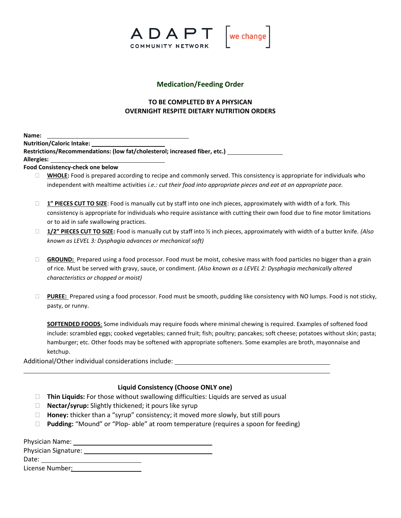

## **Medication/Feeding Order**

# **TO BE COMPLETED BY A PHYSICAN OVERNIGHT RESPITE DIETARY NUTRITION ORDERS**

|     | Name: |     |  |  |  |
|-----|-------|-----|--|--|--|
| . . |       | . . |  |  |  |

**Nutrition/Caloric Intake:** 

**Restrictions/Recommendations: (low fat/cholesterol; increased fiber, etc.) Allergies:** 

**Food Consistency-check one below** 

- **WHOLE:** Food is prepared according to recipe and commonly served. This consistency is appropriate for individuals who independent with mealtime activities *i.e.: cut their food into appropriate pieces and eat at an appropriate pace.*
- **1" PIECES CUT TO SIZE**: Food is manually cut by staff into one inch pieces, approximately with width of a fork. This consistency is appropriate for individuals who require assistance with cutting their own food due to fine motor limitations or to aid in safe swallowing practices.
- **1/2" PIECES CUT TO SIZE:** Food is manually cut by staff into ½ inch pieces, approximately with width of a butter knife. *(Also known as LEVEL 3: Dysphagia advances or mechanical soft)*
- **GROUND:** Prepared using a food processor. Food must be moist, cohesive mass with food particles no bigger than a grain of rice. Must be served with gravy, sauce, or condiment. *(Also known as a LEVEL 2: Dysphagia mechanically altered characteristics or chopped or moist)*
- **PUREE:** Prepared using a food processor. Food must be smooth, pudding like consistency with NO lumps. Food is not sticky, pasty, or runny.

**SOFTENDED FOODS**: Some individuals may require foods where minimal chewing is required. Examples of softened food include: scrambled eggs; cooked vegetables; canned fruit; fish; poultry; pancakes; soft cheese; potatoes without skin; pasta; hamburger; etc. Other foods may be softened with appropriate softeners. Some examples are broth, mayonnaise and ketchup.

Additional/Other individual considerations include:

# **Liquid Consistency (Choose ONLY one)**

- **Thin Liquids:** For those without swallowing difficulties: Liquids are served as usual
- **Nectar/syrup:** Slightly thickened; it pours like syrup
- **Honey:** thicker than a "syrup" consistency; it moved more slowly, but still pours
- **Pudding:** "Mound" or "Plop- able" at room temperature (requires a spoon for feeding)

| <b>Physician Name:</b>      |  |
|-----------------------------|--|
| <b>Physician Signature:</b> |  |
| Date:                       |  |
| License Number:             |  |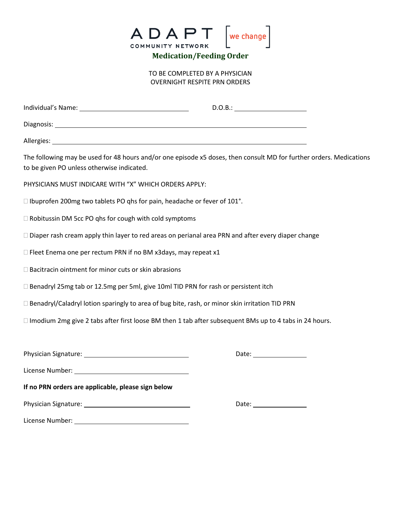

TO BE COMPLETED BY A PHYSICIAN OVERNIGHT RESPITE PRN ORDERS

|                                                                                                                                                                                                                                     | D.O.B.:                                                                                                             |
|-------------------------------------------------------------------------------------------------------------------------------------------------------------------------------------------------------------------------------------|---------------------------------------------------------------------------------------------------------------------|
|                                                                                                                                                                                                                                     |                                                                                                                     |
|                                                                                                                                                                                                                                     |                                                                                                                     |
| to be given PO unless otherwise indicated.                                                                                                                                                                                          | The following may be used for 48 hours and/or one episode x5 doses, then consult MD for further orders. Medications |
| PHYSICIANS MUST INDICARE WITH "X" WHICH ORDERS APPLY:                                                                                                                                                                               |                                                                                                                     |
| □ Ibuprofen 200mg two tablets PO qhs for pain, headache or fever of 101°.                                                                                                                                                           |                                                                                                                     |
| □ Robitussin DM 5cc PO qhs for cough with cold symptoms                                                                                                                                                                             |                                                                                                                     |
| □ Diaper rash cream apply thin layer to red areas on perianal area PRN and after every diaper change                                                                                                                                |                                                                                                                     |
| □ Fleet Enema one per rectum PRN if no BM x3days, may repeat x1                                                                                                                                                                     |                                                                                                                     |
| □ Bacitracin ointment for minor cuts or skin abrasions                                                                                                                                                                              |                                                                                                                     |
| □ Benadryl 25mg tab or 12.5mg per 5ml, give 10ml TID PRN for rash or persistent itch                                                                                                                                                |                                                                                                                     |
| □ Benadryl/Caladryl lotion sparingly to area of bug bite, rash, or minor skin irritation TID PRN                                                                                                                                    |                                                                                                                     |
| $\Box$ Imodium 2mg give 2 tabs after first loose BM then 1 tab after subsequent BMs up to 4 tabs in 24 hours.                                                                                                                       |                                                                                                                     |
|                                                                                                                                                                                                                                     |                                                                                                                     |
|                                                                                                                                                                                                                                     |                                                                                                                     |
| License Number: <u>University of the Second Second</u> Second Second Second Second Second Second Second Second Second Second Second Second Second Second Second Second Second Second Second Second Second Second Second Second Seco |                                                                                                                     |
| If no PRN orders are applicable, please sign below                                                                                                                                                                                  |                                                                                                                     |
|                                                                                                                                                                                                                                     |                                                                                                                     |
| License Number:                                                                                                                                                                                                                     |                                                                                                                     |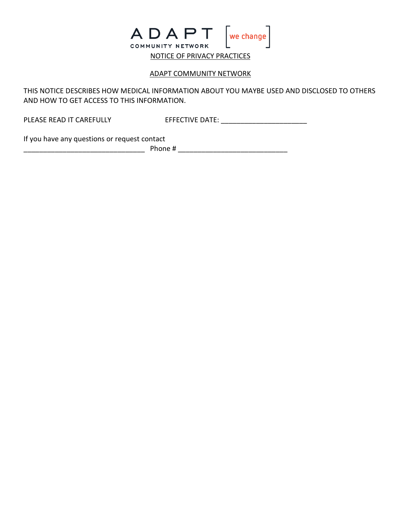

# ADAPT COMMUNITY NETWORK

THIS NOTICE DESCRIBES HOW MEDICAL INFORMATION ABOUT YOU MAYBE USED AND DISCLOSED TO OTHERS AND HOW TO GET ACCESS TO THIS INFORMATION.

PLEASE READ IT CAREFULLY EFFECTIVE DATE: \_\_\_\_\_\_\_\_\_\_\_\_\_\_\_\_\_\_\_\_\_\_

If you have any questions or request contact

\_\_\_\_\_\_\_\_\_\_\_\_\_\_\_\_\_\_\_\_\_\_\_\_\_\_\_\_\_\_\_ Phone # \_\_\_\_\_\_\_\_\_\_\_\_\_\_\_\_\_\_\_\_\_\_\_\_\_\_\_\_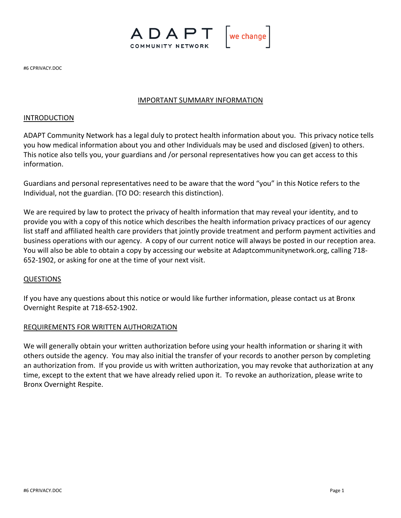

#6 CPRIVACY.DOC

# IMPORTANT SUMMARY INFORMATION

### INTRODUCTION

ADAPT Community Network has a legal duly to protect health information about you. This privacy notice tells you how medical information about you and other Individuals may be used and disclosed (given) to others. This notice also tells you, your guardians and /or personal representatives how you can get access to this information.

Guardians and personal representatives need to be aware that the word "you" in this Notice refers to the Individual, not the guardian. (TO DO: research this distinction).

We are required by law to protect the privacy of health information that may reveal your identity, and to provide you with a copy of this notice which describes the health information privacy practices of our agency list staff and affiliated health care providers that jointly provide treatment and perform payment activities and business operations with our agency. A copy of our current notice will always be posted in our reception area. You will also be able to obtain a copy by accessing our website at Adaptcommunitynetwork.org, calling 718- 652-1902, or asking for one at the time of your next visit.

# QUESTIONS

If you have any questions about this notice or would like further information, please contact us at Bronx Overnight Respite at 718-652-1902.

### REQUIREMENTS FOR WRITTEN AUTHORIZATION

We will generally obtain your written authorization before using your health information or sharing it with others outside the agency. You may also initial the transfer of your records to another person by completing an authorization from. If you provide us with written authorization, you may revoke that authorization at any time, except to the extent that we have already relied upon it. To revoke an authorization, please write to Bronx Overnight Respite.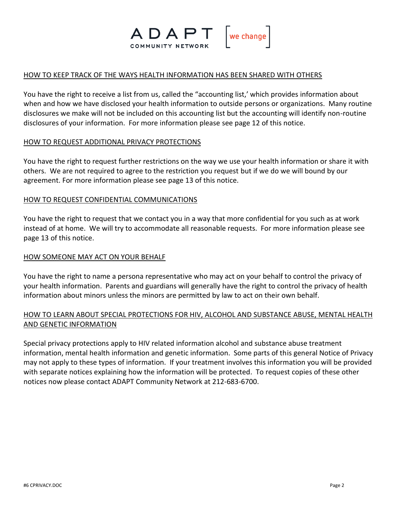

### HOW TO KEEP TRACK OF THE WAYS HEALTH INFORMATION HAS BEEN SHARED WITH OTHERS

You have the right to receive a list from us, called the "accounting list,' which provides information about when and how we have disclosed your health information to outside persons or organizations. Many routine disclosures we make will not be included on this accounting list but the accounting will identify non-routine disclosures of your information. For more information please see page 12 of this notice.

### HOW TO REQUEST ADDITIONAL PRIVACY PROTECTIONS

You have the right to request further restrictions on the way we use your health information or share it with others. We are not required to agree to the restriction you request but if we do we will bound by our agreement. For more information please see page 13 of this notice.

# HOW TO REQUEST CONFIDENTIAL COMMUNICATIONS

You have the right to request that we contact you in a way that more confidential for you such as at work instead of at home. We will try to accommodate all reasonable requests. For more information please see page 13 of this notice.

# HOW SOMEONE MAY ACT ON YOUR BEHALF

You have the right to name a persona representative who may act on your behalf to control the privacy of your health information. Parents and guardians will generally have the right to control the privacy of health information about minors unless the minors are permitted by law to act on their own behalf.

# HOW TO LEARN ABOUT SPECIAL PROTECTIONS FOR HIV, ALCOHOL AND SUBSTANCE ABUSE, MENTAL HEALTH AND GENETIC INFORMATION

Special privacy protections apply to HIV related information alcohol and substance abuse treatment information, mental health information and genetic information. Some parts of this general Notice of Privacy may not apply to these types of information. If your treatment involves this information you will be provided with separate notices explaining how the information will be protected. To request copies of these other notices now please contact ADAPT Community Network at 212-683-6700.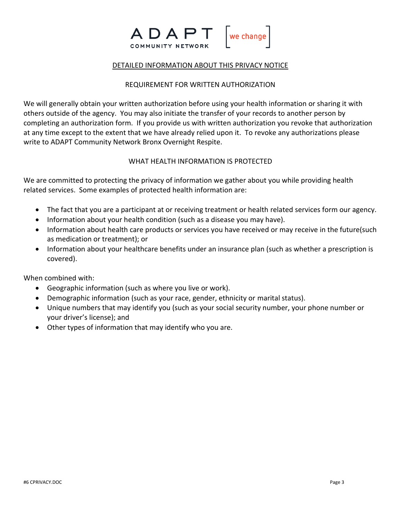

### DETAILED INFORMATION ABOUT THIS PRIVACY NOTICE

## REQUIREMENT FOR WRITTEN AUTHORIZATION

We will generally obtain your written authorization before using your health information or sharing it with others outside of the agency. You may also initiate the transfer of your records to another person by completing an authorization form. If you provide us with written authorization you revoke that authorization at any time except to the extent that we have already relied upon it. To revoke any authorizations please write to ADAPT Community Network Bronx Overnight Respite.

# WHAT HEALTH INFORMATION IS PROTECTED

We are committed to protecting the privacy of information we gather about you while providing health related services. Some examples of protected health information are:

- The fact that you are a participant at or receiving treatment or health related services form our agency.
- Information about your health condition (such as a disease you may have).
- Information about health care products or services you have received or may receive in the future(such as medication or treatment); or
- Information about your healthcare benefits under an insurance plan (such as whether a prescription is covered).

When combined with:

- Geographic information (such as where you live or work).
- Demographic information (such as your race, gender, ethnicity or marital status).
- Unique numbers that may identify you (such as your social security number, your phone number or your driver's license); and
- Other types of information that may identify who you are.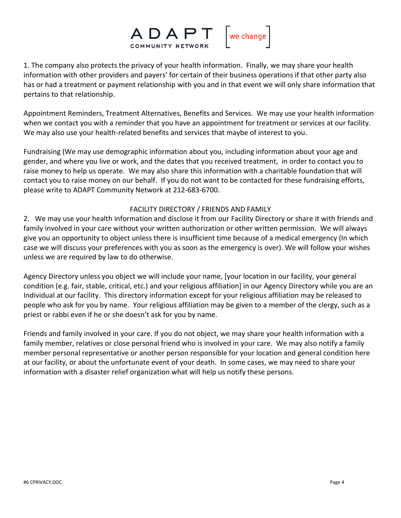

1. The company also protects the privacy of your health information. Finally, we may share your health information with other providers and payers' for certain of their business operations if that other party also has or had a treatment or payment relationship with you and in that event we will only share information that pertains to that relationship.

Appointment Reminders, Treatment Alternatives, Benefits and Services. We may use your health information when we contact you with a reminder that you have an appointment for treatment or services at our facility. We may also use your health-related benefits and services that maybe of interest to you.

Fundraising (We may use demographic information about you, including information about your age and gender, and where you live or work, and the dates that you received treatment, in order to contact you to raise money to help us operate. We may also share this information with a charitable foundation that will contact you to raise money on our behalf. If you do not want to be contacted for these fundraising efforts, please write to ADAPT Community Network at 212-683-6700.

# FACILITY DIRECTORY / FRIENDS AND FAMILY

2. We may use your health information and disclose it from our Facility Directory or share it with friends and family involved in your care without your written authorization or other written permission. We will always give you an opportunity to object unless there is insufficient time because of a medical emergency (In which case we will discuss your preferences with you as soon as the emergency is over). We will follow your wishes unless we are required by law to do otherwise.

Agency Directory unless you object we will include your name, [your location in our facility, your general condition (e.g. fair, stable, critical, etc.) and your religious affiliation] in our Agency Directory while you are an Individual at our facility. This directory information except for your religious affiliation may be released to people who ask for you by name. Your religious affiliation may be given to a member of the clergy, such as a priest or rabbi even if he or she doesn't ask for you by name.

Friends and family involved in your care. If you do not object, we may share your health information with a family member, relatives or close personal friend who is involved in your care. We may also notify a family member personal representative or another person responsible for your location and general condition here at our facility, or about the unfortunate event of your death. In some cases, we may need to share your information with a disaster relief organization what will help us notify these persons.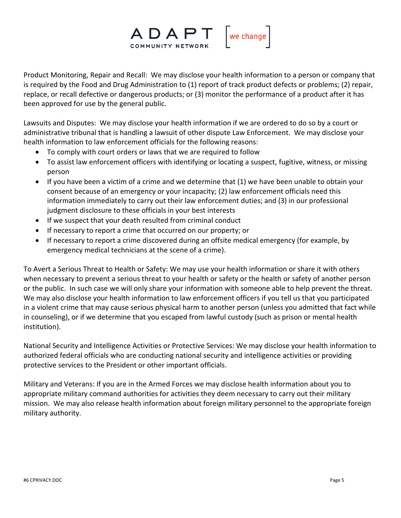

Product Monitoring, Repair and Recall: We may disclose your health information to a person or company that is required by the Food and Drug Administration to (1) report of track product defects or problems; (2) repair, replace, or recall defective or dangerous products; or (3) monitor the performance of a product after it has been approved for use by the general public.

Lawsuits and Disputes: We may disclose your health information if we are ordered to do so by a court or administrative tribunal that is handling a lawsuit of other dispute Law Enforcement. We may disclose your health information to law enforcement officials for the following reasons:

- To comply with court orders or laws that we are required to follow
- To assist law enforcement officers with identifying or locating a suspect, fugitive, witness, or missing person
- If you have been a victim of a crime and we determine that (1) we have been unable to obtain your consent because of an emergency or your incapacity; (2) law enforcement officials need this information immediately to carry out their law enforcement duties; and (3) in our professional judgment disclosure to these officials in your best interests
- If we suspect that your death resulted from criminal conduct
- If necessary to report a crime that occurred on our property; or
- If necessary to report a crime discovered during an offsite medical emergency (for example, by emergency medical technicians at the scene of a crime).

To Avert a Serious Threat to Health or Safety: We may use your health information or share it with others when necessary to prevent a serious threat to your health or safety or the health or safety of another person or the public. In such case we will only share your information with someone able to help prevent the threat. We may also disclose your health information to law enforcement officers if you tell us that you participated in a violent crime that may cause serious physical harm to another person (unless you admitted that fact while in counseling), or if we determine that you escaped from lawful custody (such as prison or mental health institution).

National Security and Intelligence Activities or Protective Services: We may disclose your health information to authorized federal officials who are conducting national security and intelligence activities or providing protective services to the President or other important officials.

Military and Veterans: If you are in the Armed Forces we may disclose health information about you to appropriate military command authorities for activities they deem necessary to carry out their military mission. We may also release health information about foreign military personnel to the appropriate foreign military authority.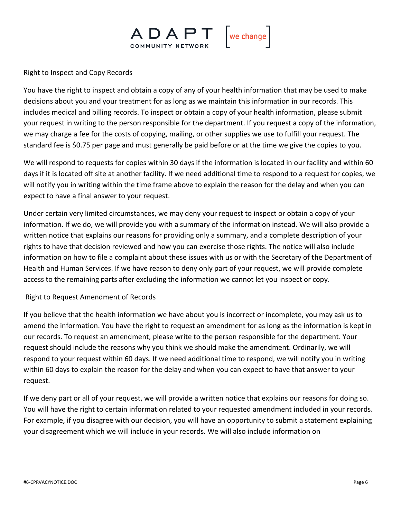

Right to Inspect and Copy Records

You have the right to inspect and obtain a copy of any of your health information that may be used to make decisions about you and your treatment for as long as we maintain this information in our records. This includes medical and billing records. To inspect or obtain a copy of your health information, please submit your request in writing to the person responsible for the department. If you request a copy of the information, we may charge a fee for the costs of copying, mailing, or other supplies we use to fulfill your request. The standard fee is \$0.75 per page and must generally be paid before or at the time we give the copies to you.

We will respond to requests for copies within 30 days if the information is located in our facility and within 60 days if it is located off site at another facility. If we need additional time to respond to a request for copies, we will notify you in writing within the time frame above to explain the reason for the delay and when you can expect to have a final answer to your request.

Under certain very limited circumstances, we may deny your request to inspect or obtain a copy of your information. If we do, we will provide you with a summary of the information instead. We will also provide a written notice that explains our reasons for providing only a summary, and a complete description of your rights to have that decision reviewed and how you can exercise those rights. The notice will also include information on how to file a complaint about these issues with us or with the Secretary of the Department of Health and Human Services. If we have reason to deny only part of your request, we will provide complete access to the remaining parts after excluding the information we cannot let you inspect or copy.

# Right to Request Amendment of Records

If you believe that the health information we have about you is incorrect or incomplete, you may ask us to amend the information. You have the right to request an amendment for as long as the information is kept in our records. To request an amendment, please write to the person responsible for the department. Your request should include the reasons why you think we should make the amendment. Ordinarily, we will respond to your request within 60 days. If we need additional time to respond, we will notify you in writing within 60 days to explain the reason for the delay and when you can expect to have that answer to your request.

If we deny part or all of your request, we will provide a written notice that explains our reasons for doing so. You will have the right to certain information related to your requested amendment included in your records. For example, if you disagree with our decision, you will have an opportunity to submit a statement explaining your disagreement which we will include in your records. We will also include information on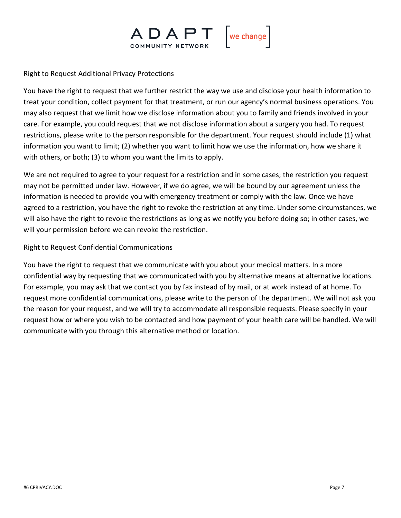

Right to Request Additional Privacy Protections

You have the right to request that we further restrict the way we use and disclose your health information to treat your condition, collect payment for that treatment, or run our agency's normal business operations. You may also request that we limit how we disclose information about you to family and friends involved in your care. For example, you could request that we not disclose information about a surgery you had. To request restrictions, please write to the person responsible for the department. Your request should include (1) what information you want to limit; (2) whether you want to limit how we use the information, how we share it with others, or both; (3) to whom you want the limits to apply.

We are not required to agree to your request for a restriction and in some cases; the restriction you request may not be permitted under law. However, if we do agree, we will be bound by our agreement unless the information is needed to provide you with emergency treatment or comply with the law. Once we have agreed to a restriction, you have the right to revoke the restriction at any time. Under some circumstances, we will also have the right to revoke the restrictions as long as we notify you before doing so; in other cases, we will your permission before we can revoke the restriction.

# Right to Request Confidential Communications

You have the right to request that we communicate with you about your medical matters. In a more confidential way by requesting that we communicated with you by alternative means at alternative locations. For example, you may ask that we contact you by fax instead of by mail, or at work instead of at home. To request more confidential communications, please write to the person of the department. We will not ask you the reason for your request, and we will try to accommodate all responsible requests. Please specify in your request how or where you wish to be contacted and how payment of your health care will be handled. We will communicate with you through this alternative method or location.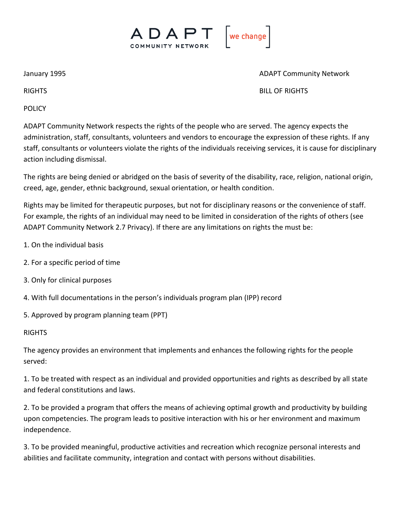

January 1995 **ADAPT Community Network** 

RIGHTS BILL OF RIGHTS

POLICY

ADAPT Community Network respects the rights of the people who are served. The agency expects the administration, staff, consultants, volunteers and vendors to encourage the expression of these rights. If any staff, consultants or volunteers violate the rights of the individuals receiving services, it is cause for disciplinary action including dismissal.

The rights are being denied or abridged on the basis of severity of the disability, race, religion, national origin, creed, age, gender, ethnic background, sexual orientation, or health condition.

Rights may be limited for therapeutic purposes, but not for disciplinary reasons or the convenience of staff. For example, the rights of an individual may need to be limited in consideration of the rights of others (see ADAPT Community Network 2.7 Privacy). If there are any limitations on rights the must be:

- 1. On the individual basis
- 2. For a specific period of time
- 3. Only for clinical purposes
- 4. With full documentations in the person's individuals program plan (IPP) record

5. Approved by program planning team (PPT)

**RIGHTS** 

The agency provides an environment that implements and enhances the following rights for the people served:

1. To be treated with respect as an individual and provided opportunities and rights as described by all state and federal constitutions and laws.

2. To be provided a program that offers the means of achieving optimal growth and productivity by building upon competencies. The program leads to positive interaction with his or her environment and maximum independence.

3. To be provided meaningful, productive activities and recreation which recognize personal interests and abilities and facilitate community, integration and contact with persons without disabilities.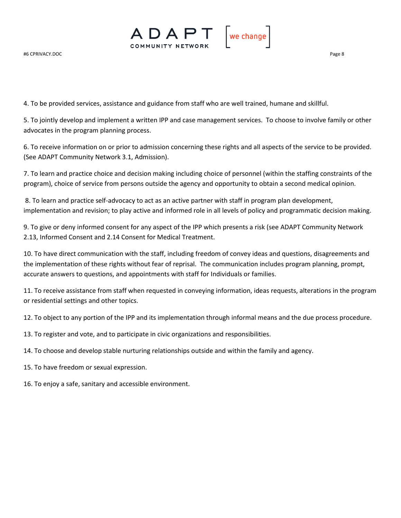

4. To be provided services, assistance and guidance from staff who are well trained, humane and skillful.

5. To jointly develop and implement a written IPP and case management services. To choose to involve family or other advocates in the program planning process.

6. To receive information on or prior to admission concerning these rights and all aspects of the service to be provided. (See ADAPT Community Network 3.1, Admission).

7. To learn and practice choice and decision making including choice of personnel (within the staffing constraints of the program), choice of service from persons outside the agency and opportunity to obtain a second medical opinion.

8. To learn and practice self-advocacy to act as an active partner with staff in program plan development, implementation and revision; to play active and informed role in all levels of policy and programmatic decision making.

9. To give or deny informed consent for any aspect of the IPP which presents a risk (see ADAPT Community Network 2.13, Informed Consent and 2.14 Consent for Medical Treatment.

10. To have direct communication with the staff, including freedom of convey ideas and questions, disagreements and the implementation of these rights without fear of reprisal. The communication includes program planning, prompt, accurate answers to questions, and appointments with staff for Individuals or families.

11. To receive assistance from staff when requested in conveying information, ideas requests, alterations in the program or residential settings and other topics.

12. To object to any portion of the IPP and its implementation through informal means and the due process procedure.

13. To register and vote, and to participate in civic organizations and responsibilities.

14. To choose and develop stable nurturing relationships outside and within the family and agency.

15. To have freedom or sexual expression.

16. To enjoy a safe, sanitary and accessible environment.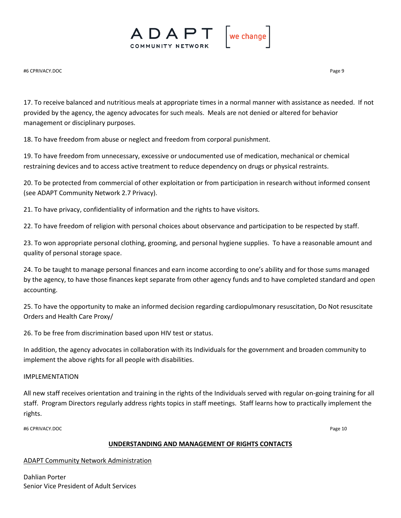

#6 CPRIVACY.DOC Page 9

17. To receive balanced and nutritious meals at appropriate times in a normal manner with assistance as needed. If not provided by the agency, the agency advocates for such meals. Meals are not denied or altered for behavior management or disciplinary purposes.

18. To have freedom from abuse or neglect and freedom from corporal punishment.

19. To have freedom from unnecessary, excessive or undocumented use of medication, mechanical or chemical restraining devices and to access active treatment to reduce dependency on drugs or physical restraints.

20. To be protected from commercial of other exploitation or from participation in research without informed consent (see ADAPT Community Network 2.7 Privacy).

21. To have privacy, confidentiality of information and the rights to have visitors.

22. To have freedom of religion with personal choices about observance and participation to be respected by staff.

23. To won appropriate personal clothing, grooming, and personal hygiene supplies. To have a reasonable amount and quality of personal storage space.

24. To be taught to manage personal finances and earn income according to one's ability and for those sums managed by the agency, to have those finances kept separate from other agency funds and to have completed standard and open accounting.

25. To have the opportunity to make an informed decision regarding cardiopulmonary resuscitation, Do Not resuscitate Orders and Health Care Proxy/

26. To be free from discrimination based upon HIV test or status.

In addition, the agency advocates in collaboration with its Individuals for the government and broaden community to implement the above rights for all people with disabilities.

#### IMPLEMENTATION

All new staff receives orientation and training in the rights of the Individuals served with regular on-going training for all staff. Program Directors regularly address rights topics in staff meetings. Staff learns how to practically implement the rights.

#6 CPRIVACY.DOC Page 10

#### **UNDERSTANDING AND MANAGEMENT OF RIGHTS CONTACTS**

ADAPT Community Network Administration

Dahlian Porter Senior Vice President of Adult Services